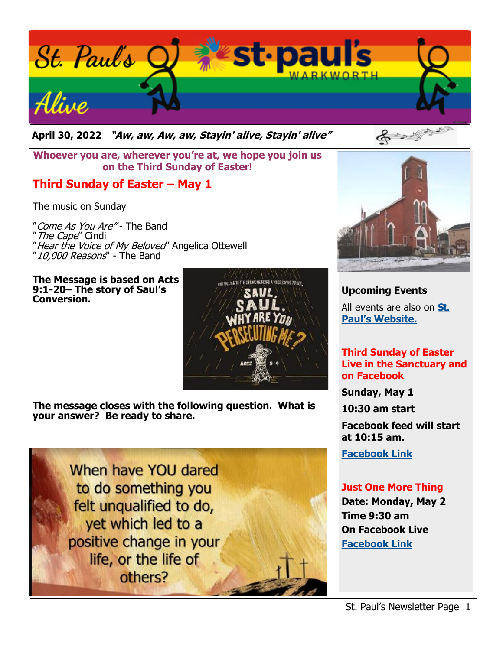

**April 30, 2022 "Aw, aw, Aw, aw, Stayin' alive, Stayin' alive"** 

**Whoever you are, wherever you're at, we hope you join us on the Third Sunday of Easter!**

## **Third Sunday of Easter – May 1**

The music on Sunday

"Come As You Are" - The Band "The Cape" Cindi "Hear the Voice of My Beloved" Angelica Ottewell "10,000 Reasons" - The Band

**The Message is based on Acts 9:1-20– The story of Saul's Conversion.**



**The message closes with the following question. What is your answer? Be ready to share.**





**Upcoming Events** All events are also on **[St.](https://stpaulswarkworth.ca/)  [Paul's Website.](https://stpaulswarkworth.ca/)**

#### **Third Sunday of Easter Live in the Sanctuary and on Facebook**

**Sunday, May 1**

**10:30 am start**

**Facebook feed will start at 10:15 am.**

**[Facebook Link](https://www.facebook.com/stpaulsunitedchurchwarkworth)**

### **Just One More Thing**

**Date: Monday, May 2 Time 9:30 am On Facebook Live [Facebook Link](https://www.facebook.com/stpaulsunitedchurchwarkworth)**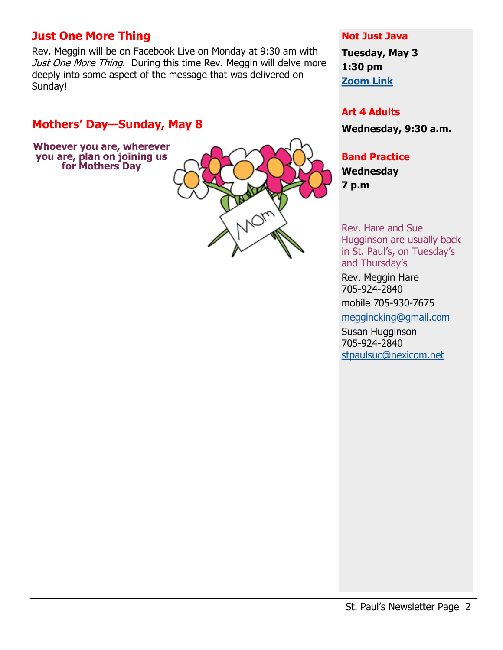## **Just One More Thing**

Rev. Meggin will be on Facebook Live on Monday at 9:30 am with Just One More Thing. During this time Rev. Meggin will delve more deeply into some aspect of the message that was delivered on Sunday!

## **Mothers' Day—Sunday, May 8**

**Whoever you are, wherever you are, plan on joining us for Mothers Day**



#### **Not Just Java**

**Tuesday, May 3 1:30 pm [Zoom Link](https://us02web.zoom.us/j/89298492606?pwd=a2JDMGhWekdwdTMrRWhGOXU2clZCZz09)**

#### **Art 4 Adults**

**Wednesday, 9:30 a.m.**

### **Band Practice**

**Wednesday 7 p.m**

Rev. Hare and Sue Hugginson are usually back in St. Paul's, on Tuesday's and Thursday's

Rev. Meggin Hare 705-924-2840

mobile 705-930-7675

[meggincking@gmail.com](mailto:meggincking@gmail.com)

Susan Hugginson 705-924-2840 [stpaulsuc@nexicom.net](mailto:stpaulsuc@nexicom.net)